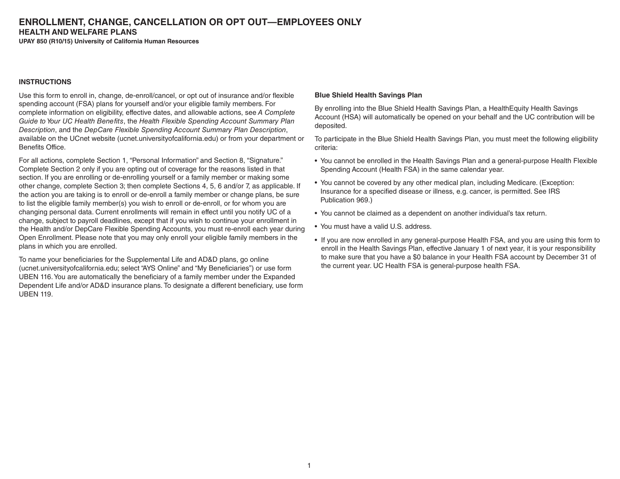# **ENROLLMENT, CHANGE, CANCELLATION OR OPT OUT—EMPLOYEES ONLY HEALTH AND WELFARE PLANS**

**UPAY 850 (R10/15) University of California Human Resources**

#### **INSTRUCTIONS**

Use this form to enroll in, change, de-enroll/cancel, or opt out of insurance and/or flexible spending account (FSA) plans for yourself and/or your eligible family members. For complete information on eligibility, effective dates, and allowable actions, see *A Complete Guide to Your UC Health Benefits*, the *Health Flexible Spending Account Summary Plan Description*, and the *DepCare Flexible Spending Account Summary Plan Description*, available on the UCnet website (ucnet.universityofcalifornia.edu) or from your department or Benefits Office.

For all actions, complete Section 1, "Personal Information" and Section 8, "Signature." Complete Section 2 only if you are opting out of coverage for the reasons listed in that section. If you are enrolling or de-enrolling yourself or a family member or making some other change, complete Section 3; then complete Sections 4, 5, 6 and/or 7, as applicable. If the action you are taking is to enroll or de-enroll a family member or change plans, be sure to list the eligible family member(s) you wish to enroll or de-enroll, or for whom you are changing personal data. Current enrollments will remain in effect until you notify UC of a change, subject to payroll deadlines, except that if you wish to continue your enrollment in the Health and/or DepCare Flexible Spending Accounts, you must re-enroll each year during Open Enrollment. Please note that you may only enroll your eligible family members in the plans in which you are enrolled.

To name your beneficiaries for the Supplemental Life and AD&D plans, go online (ucnet.universityofcalifornia.edu; select "AYS Online" and "My Beneficiaries") or use form UBEN 116. You are automatically the beneficiary of a family member under the Expanded Dependent Life and/or AD&D insurance plans. To designate a different beneficiary, use form UBEN 119.

#### **Blue Shield Health Savings Plan**

By enrolling into the Blue Shield Health Savings Plan, a HealthEquity Health Savings Account (HSA) will automatically be opened on your behalf and the UC contribution will be deposited.

To participate in the Blue Shield Health Savings Plan, you must meet the following eligibility criteria:

- You cannot be enrolled in the Health Savings Plan and a general-purpose Health Flexible Spending Account (Health FSA) in the same calendar year.
- You cannot be covered by any other medical plan, including Medicare. (Exception: Insurance for a specified disease or illness, e.g. cancer, is permitted. See IRS Publication 969.)
- You cannot be claimed as a dependent on another individual's tax return.
- You must have a valid U.S. address.
- If you are now enrolled in any general-purpose Health FSA, and you are using this form to enroll in the Health Savings Plan, effective January 1 of next year, it is your responsibility to make sure that you have a \$0 balance in your Health FSA account by December 31 of the current year. UC Health FSA is general-purpose health FSA.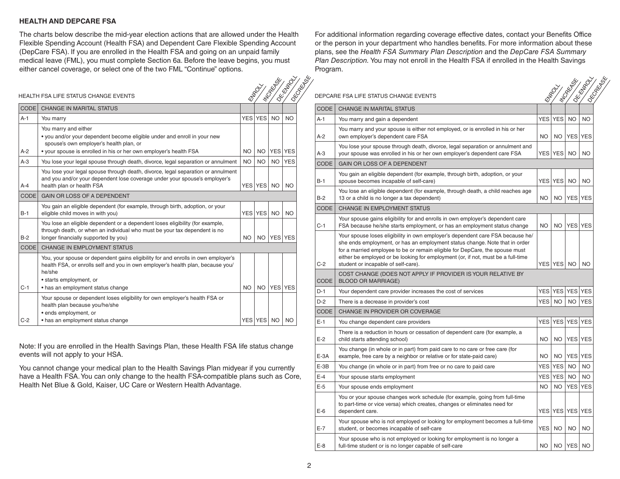#### **HEALTH AND DEPCARE FSA**

The charts below describe the mid-year election actions that are allowed under the Health Flexible Spending Account (Health FSA) and Dependent Care Flexible Spending Account (DepCare FSA). If you are enrolled in the Health FSA and going on an unpaid family medical leave (FML), you must complete Section 6a. Before the leave begins, you must either cancel coverage, or select one of the two FML "Continue" options.

For additional information regarding coverage effective dates, contact your Benefits Office or the person in your department who handles benefits. For more information about these plans, see the *Health FSA Summary Plan Description* and the *DepCare FSA Summary Plan Description.* You may not enroll in the Health FSA if enrolled in the Health Savings Program.

|                   | HEALTH FSA LIFE STATUS CHANGE EVENTS                                                                                                                                                        |                                         | <b>Elega</b> cy | Mookinger           | Idestruction | I OKONEKA OSK |             | DEPCARE FSA LIFE STATUS CHANGE EVENTS                                                                                                                                       |           | <b>Kingdom</b>    | <b>RIGHT BOY</b> | <b>IDE-EMPROV</b><br>IDECORECTED |
|-------------------|---------------------------------------------------------------------------------------------------------------------------------------------------------------------------------------------|-----------------------------------------|-----------------|---------------------|--------------|---------------|-------------|-----------------------------------------------------------------------------------------------------------------------------------------------------------------------------|-----------|-------------------|------------------|----------------------------------|
| CODE <sup>I</sup> | CHANGE IN MARITAL STATUS                                                                                                                                                                    | <b>CODE</b><br>CHANGE IN MARITAL STATUS |                 |                     |              |               |             |                                                                                                                                                                             |           |                   |                  |                                  |
| $A-1$             | You marry                                                                                                                                                                                   |                                         | YES YES NO      |                     | <b>NO</b>    |               | $A-1$       | You marry and gain a dependent                                                                                                                                              |           | YES YES           | <b>NO</b>        | l no                             |
|                   | You marry and either<br>. you and/or your dependent become eligible under and enroll in your new                                                                                            |                                         |                 |                     |              |               | $A-2$       | You marry and your spouse is either not employed, or is enrolled in his or her<br>own employer's dependent care FSA                                                         | <b>NO</b> |                   |                  | NO YES YES                       |
| A-2               | spouse's own employer's health plan, or<br>• your spouse is enrolled in his or her own employer's health FSA                                                                                |                                         |                 | NO   NO   YES   YES |              |               | $A-3$       | You lose your spouse through death, divorce, legal separation or annulment and<br>your spouse was enrolled in his or her own employer's dependent care FSA                  |           | YES YES NO NO     |                  |                                  |
| $A-3$             | You lose your legal spouse through death, divorce, legal separation or annulment                                                                                                            |                                         | NO NO           | <b>NO</b>           | <b>YES</b>   |               | CODE        | <b>GAIN OR LOSS OF A DEPENDENT</b>                                                                                                                                          |           |                   |                  |                                  |
| $A-4$             | You lose your legal spouse through death, divorce, legal separation or annulment<br>and you and/or your dependent lose coverage under your spouse's employer's<br>health plan or health FSA |                                         |                 | YES YES NO NO       |              |               | $B-1$       | You gain an eligible dependent (for example, through birth, adoption, or your<br>spouse becomes incapable of self-care)                                                     |           | <b>YES YES</b>    |                  | NO NO                            |
| <b>CODE</b>       | GAIN OR LOSS OF A DEPENDENT                                                                                                                                                                 |                                         |                 |                     |              |               | $B-2$       | You lose an eligible dependent (for example, through death, a child reaches age<br>13 or a child is no longer a tax dependent)                                              |           |                   |                  | NO   NO   YES   YES              |
| $B-1$             | You gain an eligible dependent (for example, through birth, adoption, or your<br>eligible child moves in with you)                                                                          |                                         |                 | YES YES   NO   NO   |              |               | CODE        | <b>CHANGE IN EMPLOYMENT STATUS</b>                                                                                                                                          |           |                   |                  |                                  |
|                   | You lose an eligible dependent or a dependent loses eligibility (for example,<br>through death, or when an individual who must be your tax dependent is no                                  |                                         |                 |                     |              |               | $C-1$       | Your spouse gains eligibility for and enrolls in own employer's dependent care<br>FSA because he/she starts employment, or has an employment status change                  |           |                   |                  | NO   NO   YES   YES              |
| $B-2$             | longer financially supported by you)                                                                                                                                                        |                                         |                 | NO   NO   YES   YES |              |               |             | Your spouse loses eligibility in own employer's dependent care FSA because he/                                                                                              |           |                   |                  |                                  |
| <b>CODE</b>       | CHANGE IN EMPLOYMENT STATUS                                                                                                                                                                 |                                         |                 |                     |              |               |             | she ends employment, or has an employment status change. Note that in order<br>for a married employee to be or remain eligible for DepCare, the spouse must                 |           |                   |                  |                                  |
|                   | You, your spouse or dependent gains eligibility for and enrolls in own employer's<br>health FSA, or enrolls self and you in own employer's health plan, because you/                        |                                         |                 |                     |              |               | $C-2$       | either be employed or be looking for employment (or, if not, must be a full-time<br>student or incapable of self-care).                                                     |           | YES YES   NO   NO |                  |                                  |
|                   | he/she<br>• starts employment, or                                                                                                                                                           |                                         |                 |                     |              |               | <b>CODE</b> | COST CHANGE (DOES NOT APPLY IF PROVIDER IS YOUR RELATIVE BY<br><b>BLOOD OR MARRIAGE)</b>                                                                                    |           |                   |                  |                                  |
| $C-1$             | • has an employment status change                                                                                                                                                           | NO I                                    |                 | NO YES YES          |              |               | $D-1$       | Your dependent care provider increases the cost of services                                                                                                                 |           |                   |                  | YES YES YES YES                  |
|                   | Your spouse or dependent loses eligibility for own employer's health FSA or<br>health plan because you/he/she                                                                               |                                         |                 |                     |              |               | $D-2$       | There is a decrease in provider's cost                                                                                                                                      |           | YES NO            |                  | NO YES                           |
|                   | · ends employment, or                                                                                                                                                                       |                                         |                 |                     |              |               | CODE        | CHANGE IN PROVIDER OR COVERAGE                                                                                                                                              |           |                   |                  |                                  |
| $C-2$             | • has an employment status change                                                                                                                                                           |                                         |                 | YES YES NO NO       |              |               | $E-1$       | You change dependent care providers                                                                                                                                         |           |                   |                  | YES YES YES YES                  |
|                   |                                                                                                                                                                                             |                                         |                 |                     |              |               | $E-2$       | There is a reduction in hours or cessation of dependent care (for example, a<br>child starts attending school)                                                              | NO.       |                   |                  | NO YES YES                       |
|                   | Note: If you are enrolled in the Health Savings Plan, these Health FSA life status change<br>events will not apply to your HSA.                                                             |                                         |                 |                     |              |               | $E-3A$      | You change (in whole or in part) from paid care to no care or free care (for<br>example, free care by a neighbor or relative or for state-paid care)                        | <b>NO</b> |                   |                  | NO YES YES                       |
|                   | You cannot change your medical plan to the Health Savings Plan midyear if you currently                                                                                                     |                                         |                 |                     |              |               | $E-3B$      | You change (in whole or in part) from free or no care to paid care                                                                                                          |           | YES YES           |                  | NO NO                            |
|                   | have a Health FSA. You can only change to the health FSA-compatible plans such as Core,                                                                                                     |                                         |                 |                     |              |               | $E-4$       | Your spouse starts employment                                                                                                                                               |           | YES YES           | <b>NO</b>        | NO <sub>1</sub>                  |
|                   | Health Net Blue & Gold, Kaiser, UC Care or Western Health Advantage.                                                                                                                        |                                         |                 |                     |              |               | $E-5$       | Your spouse ends employment                                                                                                                                                 | <b>NO</b> | <b>NO</b>         |                  | YES YES                          |
|                   |                                                                                                                                                                                             |                                         |                 |                     |              |               | $E-6$       | You or your spouse changes work schedule (for example, going from full-time<br>to part-time or vice versa) which creates, changes or eliminates need for<br>dependent care. |           |                   |                  | YES YES YES YES                  |
|                   |                                                                                                                                                                                             |                                         |                 |                     |              |               | $E-7$       | Your spouse who is not employed or looking for employment becomes a full-time<br>student, or becomes incapable of self-care                                                 |           | YES NO NO NO      |                  |                                  |

Your spouse who is not employed or looking for employment is no longer a

full-time student or is no longer capable of self-care NO NO YES NO

| <b>CODE</b> | <b>CHANGE IN MARITAL STATUS</b>                                                                                                                                                                           |           |                |                |            |
|-------------|-----------------------------------------------------------------------------------------------------------------------------------------------------------------------------------------------------------|-----------|----------------|----------------|------------|
| $A-1$       | You marry                                                                                                                                                                                                 |           | <b>YES YES</b> | <b>NO</b>      | <b>NO</b>  |
|             | You marry and either<br>• you and/or your dependent become eligible under and enroll in your new<br>spouse's own employer's health plan, or                                                               |           |                |                |            |
| $A-2$       | • your spouse is enrolled in his or her own employer's health FSA                                                                                                                                         | <b>NO</b> | <b>NO</b>      | <b>YES YES</b> |            |
| $A-3$       | You lose your legal spouse through death, divorce, legal separation or annulment                                                                                                                          | <b>NO</b> | <b>NO</b>      | <b>NO</b>      | <b>YES</b> |
| $A - 4$     | You lose your legal spouse through death, divorce, legal separation or annulment<br>and you and/or your dependent lose coverage under your spouse's employer's<br>health plan or health FSA               |           | YES YES        | <b>NO</b>      | <b>NO</b>  |
| <b>CODE</b> | GAIN OR LOSS OF A DEPENDENT                                                                                                                                                                               |           |                |                |            |
| $B-1$       | You gain an eligible dependent (for example, through birth, adoption, or your<br>eligible child moves in with you)                                                                                        |           | YES YES        | <b>NO</b>      | <b>NO</b>  |
| $B-2$       | You lose an eligible dependent or a dependent loses eligibility (for example,<br>through death, or when an individual who must be your tax dependent is no<br>longer financially supported by you)        | <b>NO</b> | <b>NO</b>      | <b>YES YES</b> |            |
| <b>CODE</b> | <b>CHANGE IN EMPLOYMENT STATUS</b>                                                                                                                                                                        |           |                |                |            |
|             | You, your spouse or dependent gains eligibility for and enrolls in own employer's<br>health FSA, or enrolls self and you in own employer's health plan, because you/<br>he/she<br>• starts employment, or |           |                |                |            |
| $C-1$       | • has an employment status change                                                                                                                                                                         | <b>NO</b> | <b>NO</b>      | <b>YES YES</b> |            |
|             | Your spouse or dependent loses eligibility for own employer's health FSA or<br>health plan because you/he/she<br>· ends employment, or                                                                    |           |                |                |            |
| $C-2$       | • has an employment status change                                                                                                                                                                         |           | YES YES        | <b>NO</b>      | NO         |

 $E-8$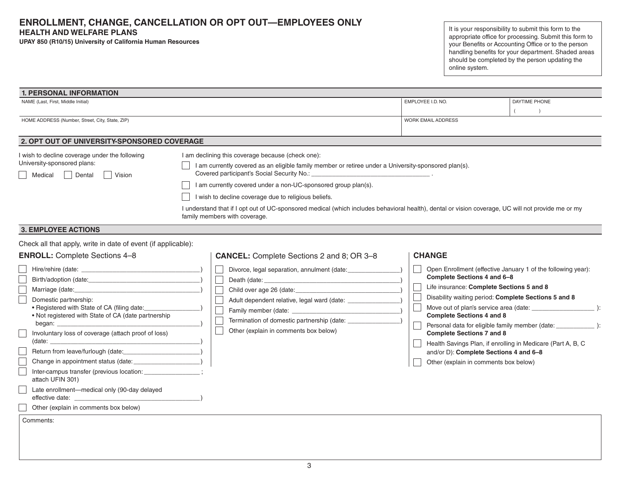# **ENROLLMENT, CHANGE, CANCELLATION OR OPT OUT—EMPLOYEES ONLY HEALTH AND WELFARE PLANS**

**UPAY 850 (R10/15) University of California Human Resources**

It is your responsibility to submit this form to the appropriate office for processing. Submit this form to your Benefits or Accounting Office or to the person handling benefits for your department. Shaded areas should be completed by the person updating the online system.

| 2. OPT OUT OF UNIVERSITY-SPONSORED COVERAGE<br>I am declining this coverage because (check one):<br>I am currently covered as an eligible family member or retiree under a University-sponsored plan(s).<br>I am currently covered under a non-UC-sponsored group plan(s).<br>I wish to decline coverage due to religious beliefs.<br>I understand that if I opt out of UC-sponsored medical (which includes behavioral health), dental or vision coverage, UC will not provide me or my<br>family members with coverage.<br>Check all that apply, write in date of event (if applicable):<br><b>CANCEL:</b> Complete Sections 2 and 8; OR 3-8 | EMPLOYEE I.D. NO.<br><b>WORK EMAIL ADDRESS</b>                                                                                                                                                                                                                                                                                                                              | DAYTIME PHONE                                                                                                                      |
|------------------------------------------------------------------------------------------------------------------------------------------------------------------------------------------------------------------------------------------------------------------------------------------------------------------------------------------------------------------------------------------------------------------------------------------------------------------------------------------------------------------------------------------------------------------------------------------------------------------------------------------------|-----------------------------------------------------------------------------------------------------------------------------------------------------------------------------------------------------------------------------------------------------------------------------------------------------------------------------------------------------------------------------|------------------------------------------------------------------------------------------------------------------------------------|
|                                                                                                                                                                                                                                                                                                                                                                                                                                                                                                                                                                                                                                                |                                                                                                                                                                                                                                                                                                                                                                             |                                                                                                                                    |
|                                                                                                                                                                                                                                                                                                                                                                                                                                                                                                                                                                                                                                                |                                                                                                                                                                                                                                                                                                                                                                             |                                                                                                                                    |
|                                                                                                                                                                                                                                                                                                                                                                                                                                                                                                                                                                                                                                                |                                                                                                                                                                                                                                                                                                                                                                             |                                                                                                                                    |
|                                                                                                                                                                                                                                                                                                                                                                                                                                                                                                                                                                                                                                                |                                                                                                                                                                                                                                                                                                                                                                             |                                                                                                                                    |
|                                                                                                                                                                                                                                                                                                                                                                                                                                                                                                                                                                                                                                                |                                                                                                                                                                                                                                                                                                                                                                             |                                                                                                                                    |
| Divorce, legal separation, annulment (date: ______________<br>Adult dependent relative, legal ward (date: ______________<br>Termination of domestic partnership (date: ________<br>Other (explain in comments box below)<br>Inter-campus transfer (previous location: _______________;                                                                                                                                                                                                                                                                                                                                                         | <b>CHANGE</b><br>Complete Sections 4 and 6-8<br>Life insurance: Complete Sections 5 and 8<br>Disability waiting period: Complete Sections 5 and 8<br><b>Complete Sections 4 and 8</b><br><b>Complete Sections 7 and 8</b><br>Health Savings Plan, if enrolling in Medicare (Part A, B, C<br>and/or D): Complete Sections 4 and 6-8<br>Other (explain in comments box below) | Open Enrollment (effective January 1 of the following year):<br>Personal data for eligible family member (date: _______________ ): |
|                                                                                                                                                                                                                                                                                                                                                                                                                                                                                                                                                                                                                                                |                                                                                                                                                                                                                                                                                                                                                                             |                                                                                                                                    |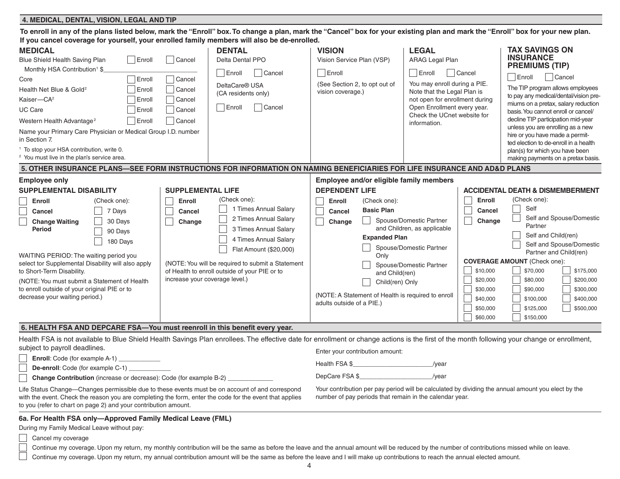#### **4. MEDICAL, DENTAL, VISION, LEGAL AND TIP**

| If you cancel coverage for yourself, your enrolled family members will also be de-enrolled.                                                                                                                                                                                                                                                                                                                                                                                                                                    |                                                                                                                                                                                                                                                                                                                                                     |                                                                                                                                                                                                                                                                                             |                                                                                                                                                                                                                                                                  |                                                                                                                                                                                                                                                                                                                                                                                                          |  |  |  |  |  |  |
|--------------------------------------------------------------------------------------------------------------------------------------------------------------------------------------------------------------------------------------------------------------------------------------------------------------------------------------------------------------------------------------------------------------------------------------------------------------------------------------------------------------------------------|-----------------------------------------------------------------------------------------------------------------------------------------------------------------------------------------------------------------------------------------------------------------------------------------------------------------------------------------------------|---------------------------------------------------------------------------------------------------------------------------------------------------------------------------------------------------------------------------------------------------------------------------------------------|------------------------------------------------------------------------------------------------------------------------------------------------------------------------------------------------------------------------------------------------------------------|----------------------------------------------------------------------------------------------------------------------------------------------------------------------------------------------------------------------------------------------------------------------------------------------------------------------------------------------------------------------------------------------------------|--|--|--|--|--|--|
| <b>MEDICAL</b><br>Enroll<br>Blue Shield Health Saving Plan<br>Monthly HSA Contribution <sup>1</sup> \$<br>Enroll<br>Core<br>Health Net Blue & Gold <sup>2</sup><br>Enroll<br>Kaiser-CA <sup>2</sup><br>Enroll<br>UC Care<br>Enroll<br>Western Health Advantage <sup>2</sup><br>Enroll<br>Name your Primary Care Physician or Medical Group I.D. number<br>in Section 7.                                                                                                                                                        | <b>DENTAL</b><br>Cancel<br>Delta Dental PPO<br>Enroll<br>Cancel<br>Cancel<br>DeltaCare® USA<br>Cancel<br>(CA residents only)<br>Cancel<br>Enroll<br>Cancel<br>Cancel<br>Cancel                                                                                                                                                                      | <b>VISION</b><br>Vision Service Plan (VSP)<br>$\Box$ Enroll<br>(See Section 2, to opt out of<br>vision coverage.)                                                                                                                                                                           | <b>LEGAL</b><br><b>ARAG Legal Plan</b><br>$\Box$ Enroll<br>$\vert$ $\vert$ Cancel<br>You may enroll during a PIE.<br>Note that the Legal Plan is<br>not open for enrollment during<br>Open Enrollment every year.<br>Check the UCnet website for<br>information. | <b>TAX SAVINGS ON</b><br><b>INSURANCE</b><br><b>PREMIUMS (TIP)</b><br>Enroll<br>Cancel<br>The TIP program allows employees<br>to pay any medical/dental/vision pre-<br>miums on a pretax, salary reduction<br>basis. You cannot enroll or cancel/<br>decline TIP participation mid-year<br>unless you are enrolling as a new<br>hire or you have made a permit-<br>ted election to de-enroll in a health |  |  |  |  |  |  |
| <sup>1</sup> To stop your HSA contribution, write 0.<br><sup>2</sup> You must live in the plan's service area.                                                                                                                                                                                                                                                                                                                                                                                                                 |                                                                                                                                                                                                                                                                                                                                                     |                                                                                                                                                                                                                                                                                             |                                                                                                                                                                                                                                                                  | plan(s) for which you have been<br>making payments on a pretax basis.                                                                                                                                                                                                                                                                                                                                    |  |  |  |  |  |  |
| 5. OTHER INSURANCE PLANS—SEE FORM INSTRUCTIONS FOR INFORMATION ON NAMING BENEFICIARIES FOR LIFE INSURANCE AND AD&D PLANS                                                                                                                                                                                                                                                                                                                                                                                                       |                                                                                                                                                                                                                                                                                                                                                     |                                                                                                                                                                                                                                                                                             |                                                                                                                                                                                                                                                                  |                                                                                                                                                                                                                                                                                                                                                                                                          |  |  |  |  |  |  |
| <b>Employee only</b><br><b>SUPPLEMENTAL DISABILITY</b><br>(Check one):<br>Enroll<br>7 Days<br>Cancel<br>30 Days<br><b>Change Waiting</b><br><b>Period</b><br>90 Days<br>180 Days<br>WAITING PERIOD: The waiting period you<br>select tor Supplemental Disability will also apply<br>to Short-Term Disability.<br>(NOTE: You must submit a Statement of Health<br>to enroll outside of your original PIE or to<br>decrease your waiting period.)<br>6. HEALTH FSA AND DEPCARE FSA—You must reenroll in this benefit every year. | <b>SUPPLEMENTAL LIFE</b><br>(Check one):<br>Enroll<br>1 Times Annual Salary<br><b>Cancel</b><br>2 Times Annual Salary<br>Change<br>3 Times Annual Salary<br>4 Times Annual Salary<br>Flat Amount (\$20,000)<br>(NOTE: You will be required to submit a Statement<br>of Health to enroll outside of your PIE or to<br>increase your coverage level.) | Employee and/or eligible family members<br><b>DEPENDENT LIFE</b><br>(Check one):<br>Enroll<br><b>Basic Plan</b><br>Cancel<br>Change<br><b>Expanded Plan</b><br>Only<br>and Child(ren)<br>Child(ren) Only<br>(NOTE: A Statement of Health is required to enroll<br>adults outside of a PIE.) | Enroll<br>Cancel<br>Spouse/Domestic Partner<br>Change<br>and Children, as applicable<br>Spouse/Domestic Partner<br>Spouse/Domestic Partner<br>\$10,000<br>\$20,000<br>\$30,000<br>\$40,000<br>\$50,000<br>\$60,000                                               | <b>ACCIDENTAL DEATH &amp; DISMEMBERMENT</b><br>(Check one):<br>Self<br>Self and Spouse/Domestic<br>Partner<br>Self and Child(ren)<br>Self and Spouse/Domestic<br>Partner and Child(ren)<br><b>COVERAGE AMOUNT</b> (Check one):<br>\$70,000<br>\$175,000<br>\$80,000<br>\$200,000<br>\$90,000<br>\$300,000<br>\$100,000<br>\$400,000<br>\$125,000<br>\$500,000<br>\$150,000                               |  |  |  |  |  |  |

**To enroll in any of the plans listed below, mark the "Enroll" box. To change a plan, mark the "Cancel" box for your existing plan and mark the "Enroll" box for your new plan.** 

Health FSA is not available to Blue Shield Health Savings Plan enrollees. The effective date for enrollment or change actions is the first of the month following your change or enrollment, subject to payroll deadlines. Enter your contribution amount:

| <b>Enroll:</b> Code (for example A-1)    |
|------------------------------------------|
| <b>De-enroll:</b> Code (for example C-1) |

 $\Box$ **Change Contribution** (increase or decrease): Code (for example B-2)

Health FSA \$  $/$ year

DepCare FSA \$\_\_\_\_\_\_\_\_\_\_\_\_\_\_\_\_\_\_\_\_\_/year

Life Status Change—Changes permissible due to these events must be on account of and correspond with the event. Check the reason you are completing the form, enter the code for the event that applies to you (refer to chart on page 2) and your contribution amount.

Your contribution per pay period will be calculated by dividing the annual amount you elect by the number of pay periods that remain in the calendar year.

# **6a. For Health FSA only—Approved Family Medical Leave (FML)**

During my Family Medical Leave without pay:

Cancel my coverage

Continue my coverage. Upon my return, my monthly contribution will be the same as before the leave and the annual amount will be reduced by the number of contributions missed while on leave.

Continue my coverage. Upon my return, my annual contribution amount will be the same as before the leave and I will make up contributions to reach the annual elected amount.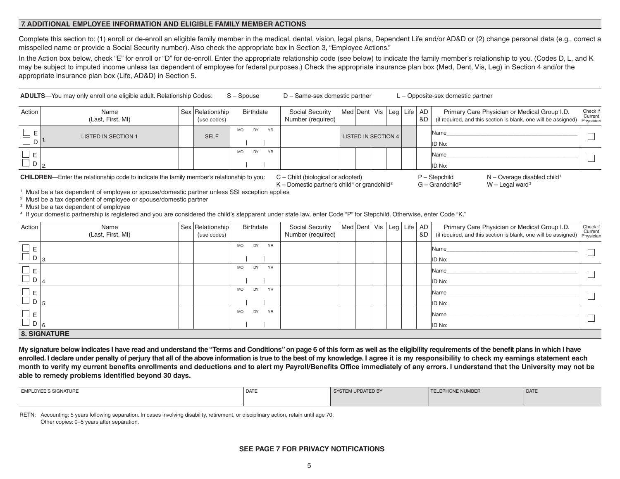#### **7. ADDITIONAL EMPLOYEE INFORMATION AND ELIGIBLE FAMILY MEMBER ACTIONS**

Complete this section to: (1) enroll or de-enroll an eligible family member in the medical, dental, vision, legal plans, Dependent Life and/or AD&D or (2) change personal data (e.g., correct a misspelled name or provide a Social Security number). Also check the appropriate box in Section 3, "Employee Actions."

In the Action box below, check "E" for enroll or "D" for de-enroll. Enter the appropriate relationship code (see below) to indicate the family member's relationship to you. (Codes D, L, and K may be subject to imputed income unless tax dependent of employee for federal purposes.) Check the appropriate insurance plan box (Med, Dent, Vis, Leg) in Section 4 and/or the appropriate insurance plan box (Life, AD&D) in Section 5.

| <b>ADULTS</b> —You may only enroll one eligible adult. Relationship Codes: S – Spouse | D – Same-sex domestic partner | $L -$ Opposite-sex domestic partner |
|---------------------------------------------------------------------------------------|-------------------------------|-------------------------------------|
|                                                                                       |                               |                                     |

| Action         | Name<br>(Last, First, MI)  | Sex Relationship<br>(use codes) | Birthdate                    | <b>Social Security</b><br>Number (required) | Med Dent  Vis   Leg   Life   AD |  | &C | Primary Care Physician or Medical Group I.D.<br>(if required, and this section is blank, one will be assigned) Physician | Check if |
|----------------|----------------------------|---------------------------------|------------------------------|---------------------------------------------|---------------------------------|--|----|--------------------------------------------------------------------------------------------------------------------------|----------|
| $\overline{D}$ | <b>LISTED IN SECTION 1</b> | <b>SELF</b>                     | DY<br>YR<br><b>MO</b>        |                                             | <b>LISTED IN SECTION 4  </b>    |  |    | <b>I</b> Name<br>ID No:                                                                                                  |          |
|                |                            |                                 | <b>YR</b><br>DY<br><b>MO</b> |                                             |                                 |  |    | <b>I</b> Name<br>ID No:                                                                                                  |          |

CHILDREN—Enter the relationship code to indicate the family member's relationship to you: C – Child (biological or adopted) P – Stepchild N – Overage disabled child<sup>1</sup>

K – Domestic partner's child<sup>4</sup> or grandchild<sup>2</sup>

 $G - Grandchild<sup>2</sup>$  W – Legal ward<sup>3</sup>

<sup>1</sup> Must be a tax dependent of employee or spouse/domestic partner unless SSI exception applies

<sup>2</sup> Must be a tax dependent of employee or spouse/domestic partner

<sup>3</sup> Must be a tax dependent of employee

<sup>4</sup> If your domestic partnership is registered and you are considered the child's stepparent under state law, enter Code "P" for Stepchild. Otherwise, enter Code "K."

| Action                                | Name<br>(Last, First, MI) | Sex Relationship<br>(use codes) | Birthdate                    | Social Security<br>Number (required) | Med Dent   Vis   Leg   Life   AD |  | 8D I | Primary Care Physician or Medical Group I.D.<br>(if required, and this section is blank, one will be assigned) | Check if<br>Current<br>Physician |
|---------------------------------------|---------------------------|---------------------------------|------------------------------|--------------------------------------|----------------------------------|--|------|----------------------------------------------------------------------------------------------------------------|----------------------------------|
| $\square$ E<br>$\Box$ D<br>$\vert$ 3. |                           |                                 | DY<br><b>MO</b><br>YR        |                                      |                                  |  |      | Name<br>ID No:                                                                                                 |                                  |
| $\Box$ E<br>$\Box$ D                  |                           |                                 | DY<br>YR<br><b>MO</b>        |                                      |                                  |  |      | Name<br>ID No:                                                                                                 |                                  |
| $\square$ e<br>$\Box$ D               |                           |                                 | DY<br><b>MO</b><br>YR        |                                      |                                  |  |      | Name<br>ID No:                                                                                                 |                                  |
| $\Box$ E<br>$\Box$ D $ _{6.}$         |                           |                                 | DY<br><b>YR</b><br><b>MO</b> |                                      |                                  |  |      | Name<br>ID No:                                                                                                 |                                  |
|                                       | <b>8. SIGNATURE</b>       |                                 |                              |                                      |                                  |  |      |                                                                                                                |                                  |

**My signature below indicates I have read and understand the "Terms and Conditions" on page 6 of this form as well as the eligibility requirements of the benefit plans in which I have enrolled. I declare under penalty of perjury that all of the above information is true to the best of my knowledge. I agree it is my responsibility to check my earnings statement each month to verify my current benefits enrollments and deductions and to alert my Payroll/Benefits Office immediately of any errors. I understand that the University may not be able to remedy problems identified beyond 30 days.** 

| <b>EMPLOYEE'S SIGNATURE</b> | <b>DATE</b> | SYSTEM UPDATED BY | <b>TELEPHONE NUMBER</b> | DATE |  |
|-----------------------------|-------------|-------------------|-------------------------|------|--|
|                             |             |                   |                         |      |  |

RETN: Accounting: 5 years following separation. In cases involving disability, retirement, or disciplinary action, retain until age 70. Other copies: 0–5 years after separation.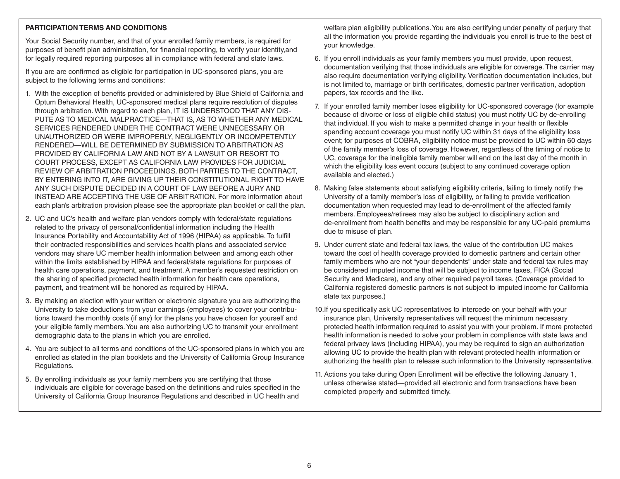# **PARTICIPATION TERMS AND CONDITIONS**

Your Social Security number, and that of your enrolled family members, is required for purposes of benefit plan administration, for financial reporting, to verify your identity,and for legally required reporting purposes all in compliance with federal and state laws.

If you are are confirmed as eligible for participation in UC-sponsored plans, you are subject to the following terms and conditions:

- 1. With the exception of benefits provided or administered by Blue Shield of California and Optum Behavioral Health, UC-sponsored medical plans require resolution of disputes through arbitration. With regard to each plan, IT IS UNDERSTOOD THAT ANY DIS-PUTE AS TO MEDICAL MALPRACTICE—THAT IS, AS TO WHETHER ANY MEDICAL SERVICES RENDERED UNDER THE CONTRACT WERE UNNECESSARY OR UNAUTHORIZED OR WERE IMPROPERLY, NEGLIGENTLY OR INCOMPETENTLY RENDERED—WILL BE DETERMINED BY SUBMISSION TO ARBITRATION AS PROVIDED BY CALIFORNIA LAW AND NOT BY A LAWSUIT OR RESORT TO COURT PROCESS, EXCEPT AS CALIFORNIA LAW PROVIDES FOR JUDICIAL REVIEW OF ARBITRATION PROCEEDINGS. BOTH PARTIES TO THE CONTRACT, BY ENTERING INTO IT, ARE GIVING UP THEIR CONSTITUTIONAL RIGHT TO HAVE ANY SUCH DISPUTE DECIDED IN A COURT OF LAW BEFORE A JURY AND INSTEAD ARE ACCEPTING THE USE OF ARBITRATION. For more information about each plan's arbitration provision please see the appropriate plan booklet or call the plan.
- 2. UC and UC's health and welfare plan vendors comply with federal/state regulations related to the privacy of personal/confidential information including the Health Insurance Portability and Accountability Act of 1996 (HIPAA) as applicable. To fulfill their contracted responsibilities and services health plans and associated service vendors may share UC member health information between and among each other within the limits established by HIPAA and federal/state regulations for purposes of health care operations, payment, and treatment. A member's requested restriction on the sharing of specified protected health information for health care operations, payment, and treatment will be honored as required by HIPAA.
- 3. By making an election with your written or electronic signature you are authorizing the University to take deductions from your earnings (employees) to cover your contributions toward the monthly costs (if any) for the plans you have chosen for yourself and your eligible family members. You are also authorizing UC to transmit your enrollment demographic data to the plans in which you are enrolled.
- 4. You are subject to all terms and conditions of the UC-sponsored plans in which you are enrolled as stated in the plan booklets and the University of California Group Insurance Regulations.
- 5. By enrolling individuals as your family members you are certifying that those individuals are eligible for coverage based on the definitions and rules specified in the University of California Group Insurance Regulations and described in UC health and

welfare plan eligibility publications. You are also certifying under penalty of perjury that all the information you provide regarding the individuals you enroll is true to the best of your knowledge.

- 6. If you enroll individuals as your family members you must provide, upon request, documentation verifying that those individuals are eligible for coverage. The carrier may also require documentation verifying eligibility. Verification documentation includes, but is not limited to, marriage or birth certificates, domestic partner verification, adoption papers, tax records and the like.
- 7. If your enrolled family member loses eligibility for UC-sponsored coverage (for example because of divorce or loss of eligible child status) you must notify UC by de-enrolling that individual. If you wish to make a permitted change in your health or flexible spending account coverage you must notify UC within 31 days of the eligibility loss event; for purposes of COBRA, eligibility notice must be provided to UC within 60 days of the family member's loss of coverage. However, regardless of the timing of notice to UC, coverage for the ineligible family member will end on the last day of the month in which the eligibility loss event occurs (subject to any continued coverage option available and elected.)
- 8. Making false statements about satisfying eligibility criteria, failing to timely notify the University of a family member's loss of eligibility, or failing to provide verification documentation when requested may lead to de-enrollment of the affected family members. Employees/retirees may also be subject to disciplinary action and de-enrollment from health benefits and may be responsible for any UC-paid premiums due to misuse of plan.
- 9. Under current state and federal tax laws, the value of the contribution UC makes toward the cost of health coverage provided to domestic partners and certain other family members who are not "your dependents" under state and federal tax rules may be considered imputed income that will be subject to income taxes, FICA (Social Security and Medicare), and any other required payroll taxes. (Coverage provided to California registered domestic partners is not subject to imputed income for California state tax purposes.)
- 10.If you specifically ask UC representatives to intercede on your behalf with your insurance plan, University representatives will request the minimum necessary protected health information required to assist you with your problem. If more protected health information is needed to solve your problem in compliance with state laws and federal privacy laws (including HIPAA), you may be required to sign an authorization allowing UC to provide the health plan with relevant protected health information or authorizing the health plan to release such information to the University representative.
- 11. Actions you take during Open Enrollment will be effective the following January 1, unless otherwise stated—provided all electronic and form transactions have been completed properly and submitted timely.